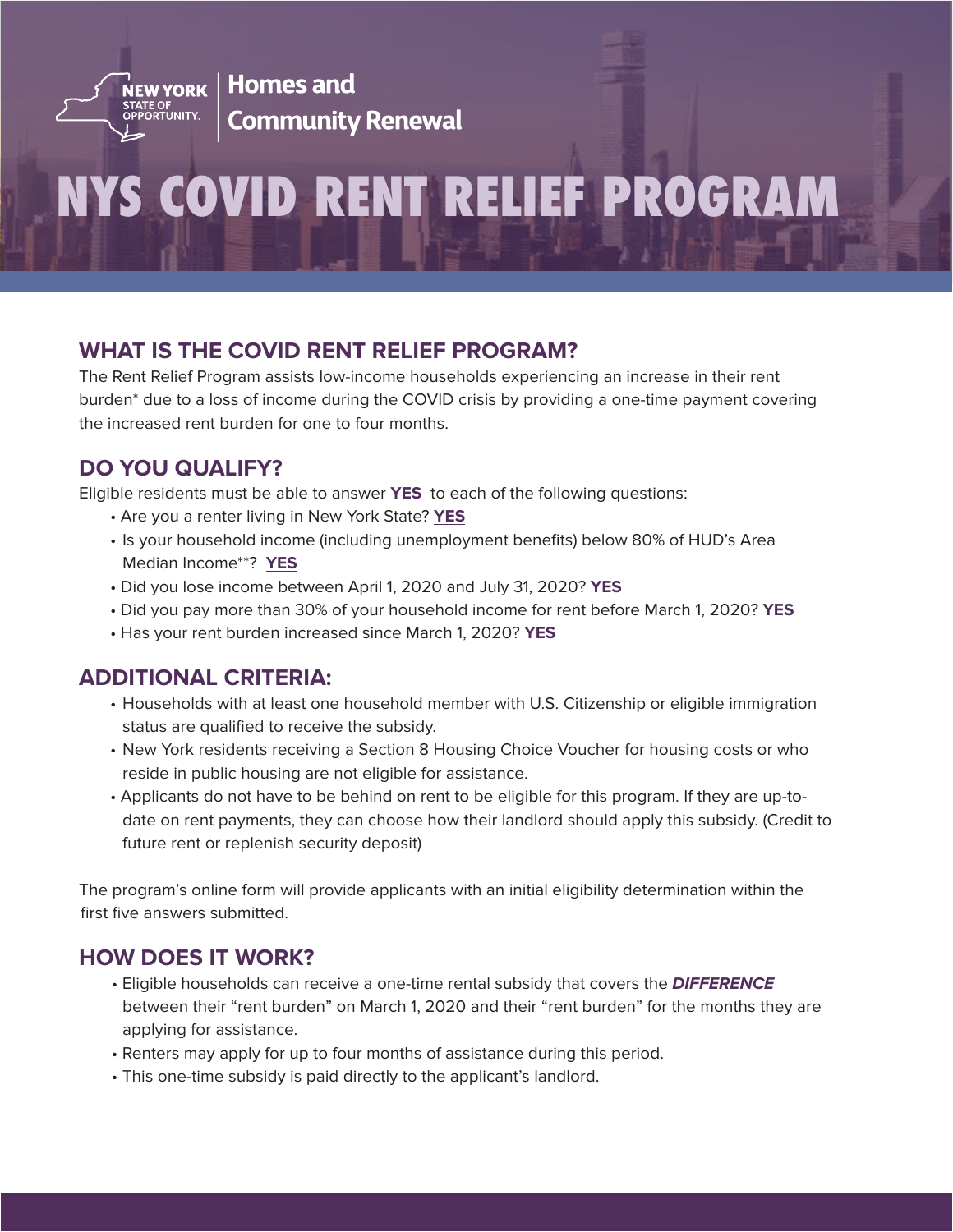

**Homes and Community Renewal** 

# **NYS COVID RENT RELIEF PROGRAM**

### **WHAT IS THE COVID RENT RELIEF PROGRAM?**

The Rent Relief Program assists low-income households experiencing an increase in their rent burden\* due to a loss of income during the COVID crisis by providing a one-time payment covering the increased rent burden for one to four months.

### **DO YOU QUALIFY?**

Eligible residents must be able to answer **YES** to each of the following questions:

- Are you a renter living in New York State? **YES**
- Is your household income (including unemployment benefits) below 80% of HUD's Area Median Income\*\*? **YES**
- Did you lose income between April 1, 2020 and July 31, 2020? **YES**
- Did you pay more than 30% of your household income for rent before March 1, 2020? **YES**
- Has your rent burden increased since March 1, 2020? **YES**

### **ADDITIONAL CRITERIA:**

- Households with at least one household member with U.S. Citizenship or eligible immigration status are qualified to receive the subsidy.
- New York residents receiving a Section 8 Housing Choice Voucher for housing costs or who reside in public housing are not eligible for assistance.
- Applicants do not have to be behind on rent to be eligible for this program. If they are up-todate on rent payments, they can choose how their landlord should apply this subsidy. (Credit to future rent or replenish security deposit)

The program's online form will provide applicants with an initial eligibility determination within the first five answers submitted.

### **HOW DOES IT WORK?**

- Eligible households can receive a one-time rental subsidy that covers the *DIFFERENCE* between their "rent burden" on March 1, 2020 and their "rent burden" for the months they are applying for assistance.
- Renters may apply for up to four months of assistance during this period.
- This one-time subsidy is paid directly to the applicant's landlord.